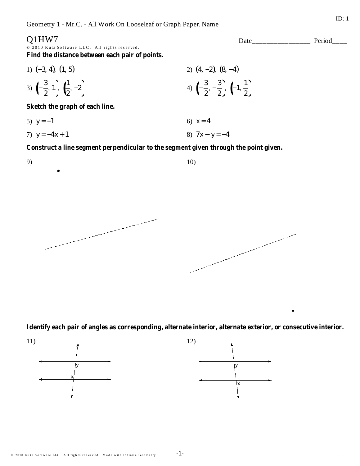## O1HW7

9)

© 2010 Kuta Software LLC. All rights reserved. Find the distance between each pair of points.

1) (-3, 4), (1, 5)  
\n2) (4, -2), (8, -4)  
\n3) 
$$
\left(-\frac{3}{2}, 1\right), \left(-\frac{1}{2}, -2\right)
$$
  
\n4)  $\left(-\frac{3}{2}, -\frac{3}{2}\right), \left(-1, \frac{1}{2}\right)$ 

Sketch the graph of each line.

.

- 5)  $y = -1$ 6)  $x = 4$
- 8)  $7x y = -4$ 7)  $y = -4x + 1$

Construct a line segment perpendicular to the segment given through the point given.



Identify each pair of angles as corresponding, alternate interior, alternate exterior, or consecutive interior.

 $10)$ 



 $ID: 1$